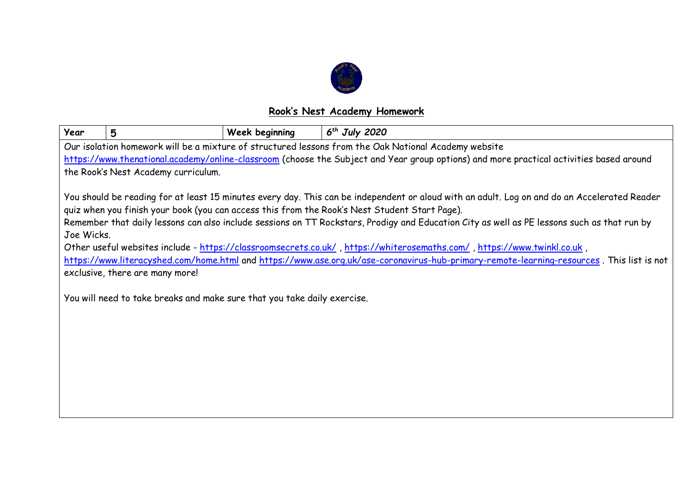

## **Rook's Nest Academy Homework**

| Year                                                                                                                                                                                                                                                                                                                                                                                                                                                                                                                                                                                                                                                                                                                                                                                              | 5 | Week beginning | $6th$ July 2020 |  |  |  |
|---------------------------------------------------------------------------------------------------------------------------------------------------------------------------------------------------------------------------------------------------------------------------------------------------------------------------------------------------------------------------------------------------------------------------------------------------------------------------------------------------------------------------------------------------------------------------------------------------------------------------------------------------------------------------------------------------------------------------------------------------------------------------------------------------|---|----------------|-----------------|--|--|--|
| Our isolation homework will be a mixture of structured lessons from the Oak National Academy website                                                                                                                                                                                                                                                                                                                                                                                                                                                                                                                                                                                                                                                                                              |   |                |                 |  |  |  |
| https://www.thenational.academy/online-classroom (choose the Subject and Year group options) and more practical activities based around                                                                                                                                                                                                                                                                                                                                                                                                                                                                                                                                                                                                                                                           |   |                |                 |  |  |  |
| the Rook's Nest Academy curriculum.                                                                                                                                                                                                                                                                                                                                                                                                                                                                                                                                                                                                                                                                                                                                                               |   |                |                 |  |  |  |
| You should be reading for at least 15 minutes every day. This can be independent or aloud with an adult. Log on and do an Accelerated Reader<br>quiz when you finish your book (you can access this from the Rook's Nest Student Start Page).<br>Remember that daily lessons can also include sessions on TT Rockstars, Prodigy and Education City as well as PE lessons such as that run by<br>Joe Wicks.<br>Other useful websites include - https://classroomsecrets.co.uk/, https://whiterosemaths.com/, https://www.twinkl.co.uk,<br>https://www.literacyshed.com/home.html and https://www.ase.org.uk/ase-coronavirus-hub-primary-remote-learning-resources. This list is not<br>exclusive, there are many more!<br>You will need to take breaks and make sure that you take daily exercise. |   |                |                 |  |  |  |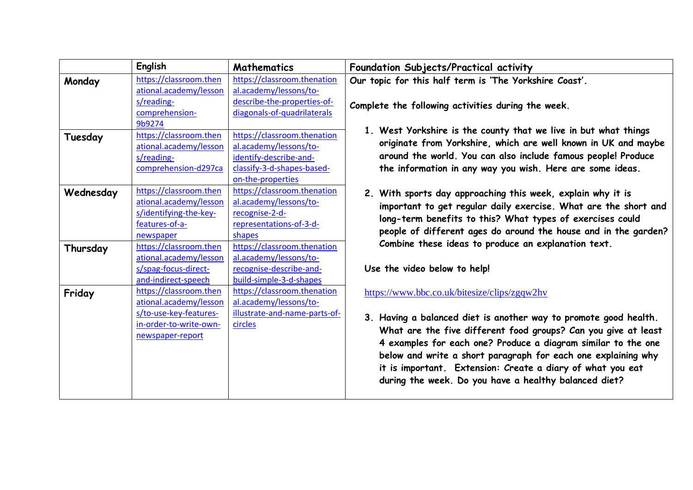|           | English                | <b>Mathematics</b>            | Foundation Subjects/Practical activity                                                                                                                                                                                                                                                                                                                                                                                                      |
|-----------|------------------------|-------------------------------|---------------------------------------------------------------------------------------------------------------------------------------------------------------------------------------------------------------------------------------------------------------------------------------------------------------------------------------------------------------------------------------------------------------------------------------------|
| Monday    | https://classroom.then | https://classroom.thenation   | Our topic for this half term is 'The Yorkshire Coast'.<br>Complete the following activities during the week.                                                                                                                                                                                                                                                                                                                                |
|           | ational.academy/lesson | al.academy/lessons/to-        |                                                                                                                                                                                                                                                                                                                                                                                                                                             |
|           | s/reading-             | describe-the-properties-of-   |                                                                                                                                                                                                                                                                                                                                                                                                                                             |
|           | comprehension-         | diagonals-of-quadrilaterals   |                                                                                                                                                                                                                                                                                                                                                                                                                                             |
|           | 9b9274                 |                               | 1. West Yorkshire is the county that we live in but what things<br>originate from Yorkshire, which are well known in UK and maybe<br>around the world. You can also include famous people! Produce<br>the information in any way you wish. Here are some ideas.                                                                                                                                                                             |
| Tuesday   | https://classroom.then | https://classroom.thenation   |                                                                                                                                                                                                                                                                                                                                                                                                                                             |
|           | ational.academy/lesson | al.academy/lessons/to-        |                                                                                                                                                                                                                                                                                                                                                                                                                                             |
|           | s/reading-             | identify-describe-and-        |                                                                                                                                                                                                                                                                                                                                                                                                                                             |
|           | comprehension-d297ca   | classify-3-d-shapes-based-    |                                                                                                                                                                                                                                                                                                                                                                                                                                             |
|           |                        | on-the-properties             |                                                                                                                                                                                                                                                                                                                                                                                                                                             |
| Wednesday | https://classroom.then | https://classroom.thenation   | 2. With sports day approaching this week, explain why it is<br>important to get regular daily exercise. What are the short and<br>long-term benefits to this? What types of exercises could<br>people of different ages do around the house and in the garden?<br>Combine these ideas to produce an explanation text.<br>Use the video below to help!                                                                                       |
|           | ational.academy/lesson | al.academy/lessons/to-        |                                                                                                                                                                                                                                                                                                                                                                                                                                             |
|           | s/identifying-the-key- | recognise-2-d-                |                                                                                                                                                                                                                                                                                                                                                                                                                                             |
|           | features-of-a-         | representations-of-3-d-       |                                                                                                                                                                                                                                                                                                                                                                                                                                             |
|           | newspaper              | shapes                        |                                                                                                                                                                                                                                                                                                                                                                                                                                             |
| Thursday  | https://classroom.then | https://classroom.thenation   |                                                                                                                                                                                                                                                                                                                                                                                                                                             |
|           | ational.academy/lesson | al.academy/lessons/to-        |                                                                                                                                                                                                                                                                                                                                                                                                                                             |
|           | s/spag-focus-direct-   | recognise-describe-and-       |                                                                                                                                                                                                                                                                                                                                                                                                                                             |
|           | and-indirect-speech    | build-simple-3-d-shapes       |                                                                                                                                                                                                                                                                                                                                                                                                                                             |
| Friday    | https://classroom.then | https://classroom.thenation   | https://www.bbc.co.uk/bitesize/clips/zgqw2hv<br>3. Having a balanced diet is another way to promote good health.<br>What are the five different food groups? Can you give at least<br>4 examples for each one? Produce a diagram similar to the one<br>below and write a short paragraph for each one explaining why<br>it is important. Extension: Create a diary of what you eat<br>during the week. Do you have a healthy balanced diet? |
|           | ational.academy/lesson | al.academy/lessons/to-        |                                                                                                                                                                                                                                                                                                                                                                                                                                             |
|           | s/to-use-key-features- | illustrate-and-name-parts-of- |                                                                                                                                                                                                                                                                                                                                                                                                                                             |
|           | in-order-to-write-own- | circles                       |                                                                                                                                                                                                                                                                                                                                                                                                                                             |
|           | newspaper-report       |                               |                                                                                                                                                                                                                                                                                                                                                                                                                                             |
|           |                        |                               |                                                                                                                                                                                                                                                                                                                                                                                                                                             |
|           |                        |                               |                                                                                                                                                                                                                                                                                                                                                                                                                                             |
|           |                        |                               |                                                                                                                                                                                                                                                                                                                                                                                                                                             |
|           |                        |                               |                                                                                                                                                                                                                                                                                                                                                                                                                                             |
|           |                        |                               |                                                                                                                                                                                                                                                                                                                                                                                                                                             |